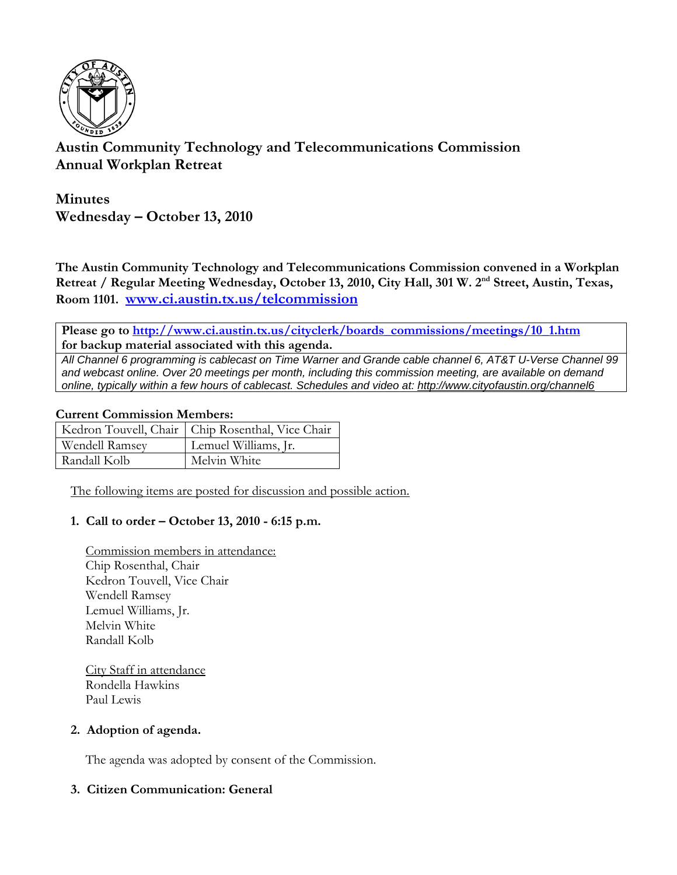

# **Austin Community Technology and Telecommunications Commission Annual Workplan Retreat**

**Minutes Wednesday – October 13, 2010** 

**The Austin Community Technology and Telecommunications Commission convened in a Workplan**  Retreat / Regular Meeting Wednesday, October 13, 2010, City Hall, 301 W. 2<sup>nd</sup> Street, Austin, Texas, **Room 1101. www.ci.austin.tx.us/telcommission**

**Please go to http://www.ci.austin.tx.us/cityclerk/boards\_commissions/meetings/10\_1.htm for backup material associated with this agenda.** 

*All Channel 6 programming is cablecast on Time Warner and Grande cable channel 6, AT&T U-Verse Channel 99 and webcast online. Over 20 meetings per month, including this commission meeting, are available on demand online, typically within a few hours of cablecast. Schedules and video at: http://www.cityofaustin.org/channel6*

### **Current Commission Members:**

|                       | Kedron Touvell, Chair   Chip Rosenthal, Vice Chair |
|-----------------------|----------------------------------------------------|
| <b>Wendell Ramsey</b> | Lemuel Williams, Jr.                               |
| Randall Kolb          | Melvin White                                       |

The following items are posted for discussion and possible action.

### **1. Call to order – October 13, 2010 - 6:15 p.m.**

Commission members in attendance: Chip Rosenthal, Chair Kedron Touvell, Vice Chair Wendell Ramsey Lemuel Williams, Jr. Melvin White Randall Kolb

City Staff in attendance Rondella Hawkins Paul Lewis

### **2. Adoption of agenda.**

The agenda was adopted by consent of the Commission.

### **3. Citizen Communication: General**